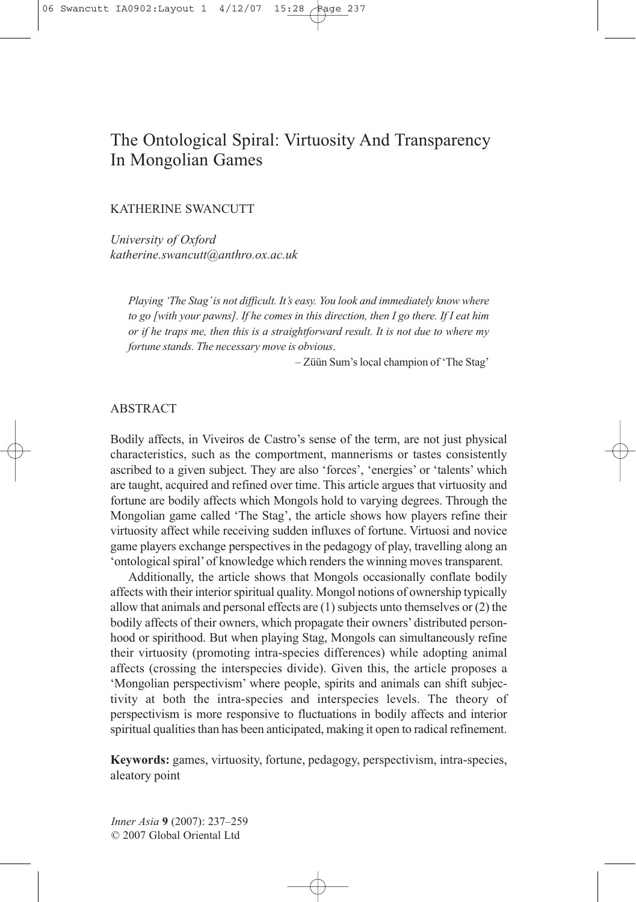# The Ontological Spiral: Virtuosity And Transparency In Mongolian Games

# K ATHERINE SWANCUTT

*University of Oxford katherine.swancutt@anthro.ox.ac.uk*

*Playing 'The Stag'is not difficult. It's easy. You look and immediately know where to go [with your pawns]. If he comes in this direction, then I go there. If I eat him or if he traps me, then this is a straightforward result. It is not due to where my fortune stands. The necessary move is obvious*.

– Züün Sum'slocal champion of 'The Stag'

# ABSTRACT

Bodily affects, in Viveiros de Castro's sense of the term, are not just physical characteristics, such as the comportment, mannerisms or tastes consistently ascribed to a given subject. They are also 'forces', 'energies' or 'talents' which are taught, acquired and refined over time. This article argues that virtuosity and fortune are bodily affects which Mongols hold to varying degrees. Through the Mongolian game called 'The Stag', the article shows how players refine their virtuosity affect while receiving sudden influxes of fortune. Virtuosi and novice game players exchange perspectives in the pedagogy of play, travelling along an 'ontological spiral' of knowledge which renders the winning moves transparent.

Additionally, the article shows that Mongols occasionally conflate bodily affects with their interior spiritual quality. Mongol notions of ownership typically allow that animals and personal effects are  $(1)$  subjects unto themselves or  $(2)$  the bodily affects of their owners, which propagate their owners' distributed personhood or spirithood. But when playing Stag, Mongols can simultaneously refine their virtuosity (promoting intra-species differences) while adopting animal affects (crossing the interspecies divide). Given this, the article proposes a 'Mongolian perspectivism' where people, spirits and animals can shift subjectivity at both the intra-species and interspecies levels. The theory of perspectivism is more responsive to fluctuations in bodily affects and interior spiritual qualities than has been anticipated, making it open to radical refinement.

**Keywords:** games, virtuosity, fortune, pedagogy, perspectivism, intra-species, aleatory point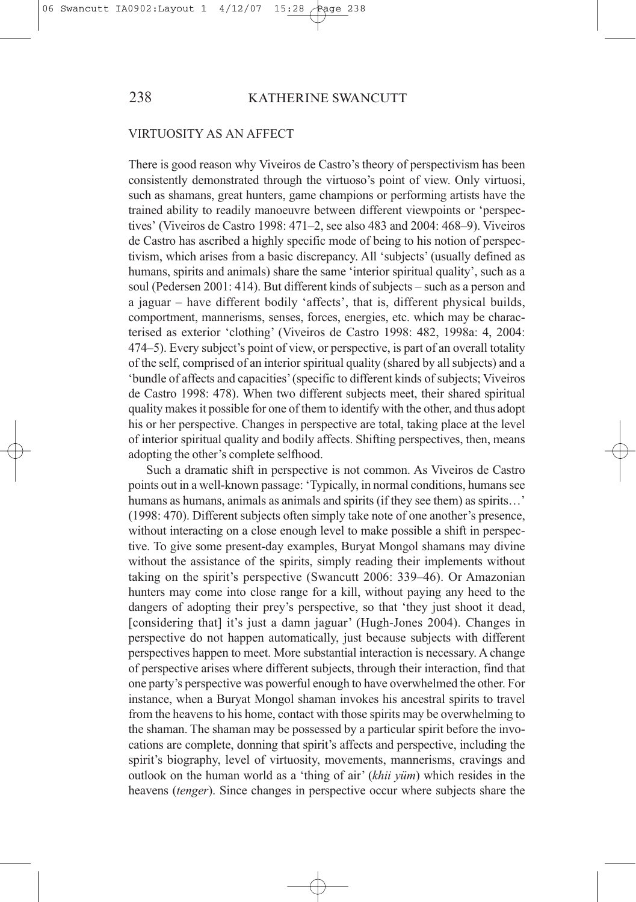# VIRTUOSITY AS AN AFFECT

There is good reason why Viveiros de Castro's theory of perspectivism has been consistently demonstrated through the virtuoso's point of view. Only virtuosi, such as shamans, great hunters, game champions or performing artists have the trained ability to readily manoeuvre between different viewpoints or 'perspectives' (Viveiros de Castro 1998: 471–2, see also 483 and 2004: 468–9). Viveiros de Castro has ascribed a highly specific mode of being to his notion of perspectivism, which arises from a basic discrepancy. All 'subjects' (usually defined as humans, spirits and animals) share the same 'interior spiritual quality', such as a soul (Pedersen 2001: 414). But different kinds of subjects – such as a person and a jaguar – have different bodily 'affects', that is, different physical builds, comportment, mannerisms, senses, forces, energies, etc. which may be characterised as exterior 'clothing' (Viveiros de Castro 1998: 482, 1998a: 4, 2004: 474–5). Every subject's point of view, or perspective, is part of an overall totality of the self, comprised of an interior spiritual quality (shared by all subjects) and a 'bundle of affects and capacities' (specific to different kinds of subjects; Viveiros de Castro 1998: 478). When two different subjects meet, their shared spiritual quality makesit possible for one of them to identify with the other, and thus adopt his or her perspective. Changes in perspective are total, taking place at the level of interior spiritual quality and bodily affects. Shifting perspectives, then, means adopting the other's complete selfhood.

Such a dramatic shift in perspective is not common. As Viveiros de Castro points out in a well-known passage: 'Typically, in normal conditions, humans see humans as humans, animals as animals and spirits (if they see them) as spirits...' (1998: 470). Different subjects often simply take note of one another's presence, without interacting on a close enough level to make possible a shift in perspective. To give some present-day examples, Buryat Mongol shamans may divine without the assistance of the spirits, simply reading their implements without taking on the spirit's perspective (Swancutt 2006: 339–46). Or Amazonian hunters may come into close range for a kill, without paying any heed to the dangers of adopting their prey's perspective, so that 'they just shoot it dead, [considering that] it's just a damn jaguar' (Hugh-Jones 2004). Changes in perspective do not happen automatically, just because subjects with different perspectives happen to meet. More substantial interaction is necessary. A change of perspective arises where different subjects, through their interaction, find that one party's perspective was powerful enough to have overwhelmed the other. For instance, when a Buryat Mongol shaman invokes his ancestral spirits to travel from the heavensto his home, contact with those spirits may be overwhelming to the shaman. The shaman may be possessed by a particular spirit before the invocations are complete, donning that spirit's affects and perspective, including the spirit's biography, level of virtuosity, movements, mannerisms, cravings and outlook on the human world as a 'thing of air' (*khii yüm*) which resides in the heavens (*tenger*). Since changes in perspective occur where subjects share the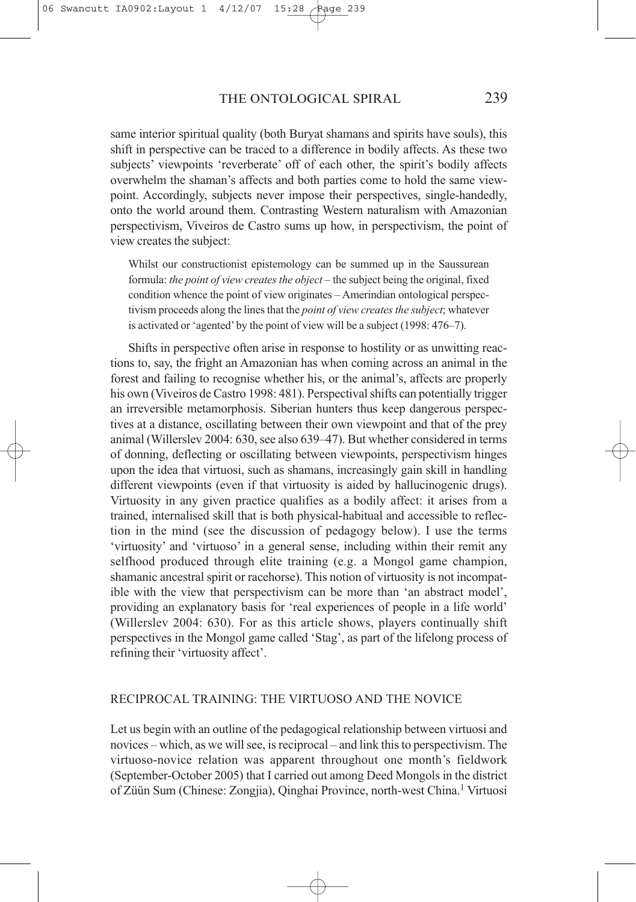same interior spiritual quality (both Buryat shamans and spirits have souls), this shift in perspective can be traced to a difference in bodily affects. As these two subjects' viewpoints 'reverberate' off of each other, the spirit's bodily affects overwhelm the shaman's affects and both parties come to hold the same viewpoint. Accordingly, subjects never impose their perspectives, single-handedly, onto the world around them. Contrasting Western naturalism with Amazonian perspectivism, Viveiros de Castro sums up how, in perspectivism, the point of view creates the subject:

Whilst our constructionist epistemology can be summed up in the Saussurean formula: *the point of view creates the object* – the subject being the original, fixed condition whence the point of view originates – Amerindian ontological perspectivism proceeds along the lines that the *point of view creates the subject*; whatever is activated or 'agented'by the point of view will be a subject (1998: 476–7).

Shifts in perspective often arise in response to hostility or as unwitting reactions to, say, the fright an Amazonian has when coming across an animal in the forest and failing to recognise whether his, or the animal's, affects are properly his own (Viveiros de Castro 1998: 481). Perspectival shifts can potentially trigger an irreversible metamorphosis. Siberian hunters thus keep dangerous perspectives at a distance, oscillating between their own viewpoint and that of the prey animal (Willerslev 2004: 630, see also 639–47). But whether considered in terms of donning, deflecting or oscillating between viewpoints, perspectivism hinges upon the idea that virtuosi, such as shamans, increasingly gain skill in handling different viewpoints (even if that virtuosity is aided by hallucinogenic drugs). Virtuosity in any given practice qualifies as a bodily affect: it arises from a trained, internalised skill that is both physical-habitual and accessible to reflection in the mind (see the discussion of pedagogy below). I use the terms 'virtuosity' and 'virtuoso' in a general sense, including within their remit any selfhood produced through elite training (e.g. a Mongol game champion, shamanic ancestral spirit or racehorse). This notion of virtuosity is not incompatible with the view that perspectivism can be more than 'an abstract model', providing an explanatory basis for 'real experiences of people in a life world' (Willerslev 2004: 630). For as this article shows, players continually shift perspectives in the Mongol game called 'Stag', as part of the lifelong process of refining their 'virtuosity affect'.

#### RECIPROCAL TRAINING: THE VIRTUOSO AND THE NOVICE

Let us begin with an outline of the pedagogical relationship between virtuosi and novices – which, as we will see, is reciprocal – and link this to perspectivism. The virtuoso-novice relation was apparent throughout one month's fieldwork (September-October 2005) that I carried out among Deed Mongols in the district of Züün Sum (Chinese: Zongjia), Qinghai Province, north-west China. <sup>1</sup> Virtuosi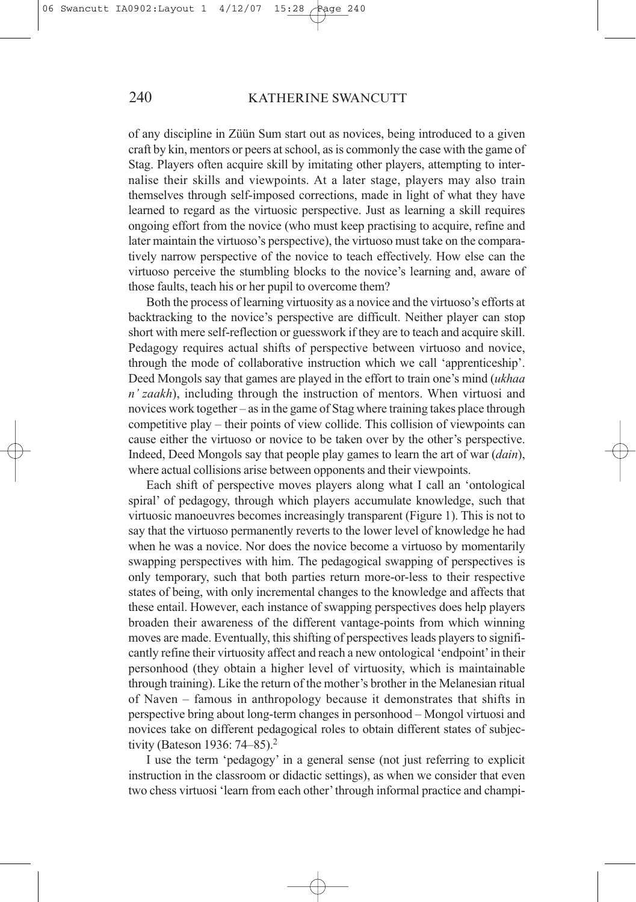of any discipline in Züün Sum start out as novices, being introduced to a given craft by kin, mentors or peers atschool, asis commonly the case with the game of Stag. Players often acquire skill by imitating other players, attempting to internalise their skills and viewpoints. At a later stage, players may also train themselves through self-imposed corrections, made in light of what they have learned to regard as the virtuosic perspective. Just as learning a skill requires ongoing effort from the novice (who must keep practising to acquire, refine and later maintain the virtuoso's perspective), the virtuoso must take on the comparatively narrow perspective of the novice to teach effectively. How else can the virtuoso perceive the stumbling blocks to the novice's learning and, aware of those faults, teach his or her pupil to overcome them?

Both the process of learning virtuosity as a novice and the virtuoso's efforts at backtracking to the novice's perspective are difficult. Neither player can stop short with mere self-reflection or guesswork if they are to teach and acquire skill. Pedagogy requires actual shifts of perspective between virtuoso and novice, through the mode of collaborative instruction which we call 'apprenticeship'. Deed Mongols say that games are played in the effort to train one's mind (*ukhaa n' zaakh*), including through the instruction of mentors. When virtuosi and novices work together – as in the game of Stag where training takes place through competitive play – their points of view collide. This collision of viewpoints can cause either the virtuoso or novice to be taken over by the other's perspective. Indeed, Deed Mongols say that people play games to learn the art of war (*dain*), where actual collisions arise between opponents and their viewpoints.

Each shift of perspective moves players along what I call an 'ontological spiral' of pedagogy, through which players accumulate knowledge, such that virtuosic manoeuvres becomes increasingly transparent (Figure 1). This is not to say that the virtuoso permanently reverts to the lower level of knowledge he had when he was a novice. Nor does the novice become a virtuoso by momentarily swapping perspectives with him. The pedagogical swapping of perspectives is only temporary, such that both parties return more-or-less to their respective states of being, with only incremental changes to the knowledge and affects that these entail. However, each instance of swapping perspectives does help players broaden their awareness of the different vantage-points from which winning moves are made. Eventually, this shifting of perspectives leads players to significantly refine their virtuosity affect and reach a new ontological 'endpoint'in their personhood (they obtain a higher level of virtuosity, which is maintainable through training). Like the return of the mother's brother in the Melanesian ritual of Naven – famous in anthropology because it demonstrates that shifts in perspective bring about long-term changes in personhood – Mongol virtuosi and novices take on different pedagogical roles to obtain different states of subjectivity (Bateson 1936: 74–85). 2

I use the term 'pedagogy' in a general sense (not just referring to explicit instruction in the classroom or didactic settings), as when we consider that even two chess virtuosi 'learn from each other'through informal practice and champi-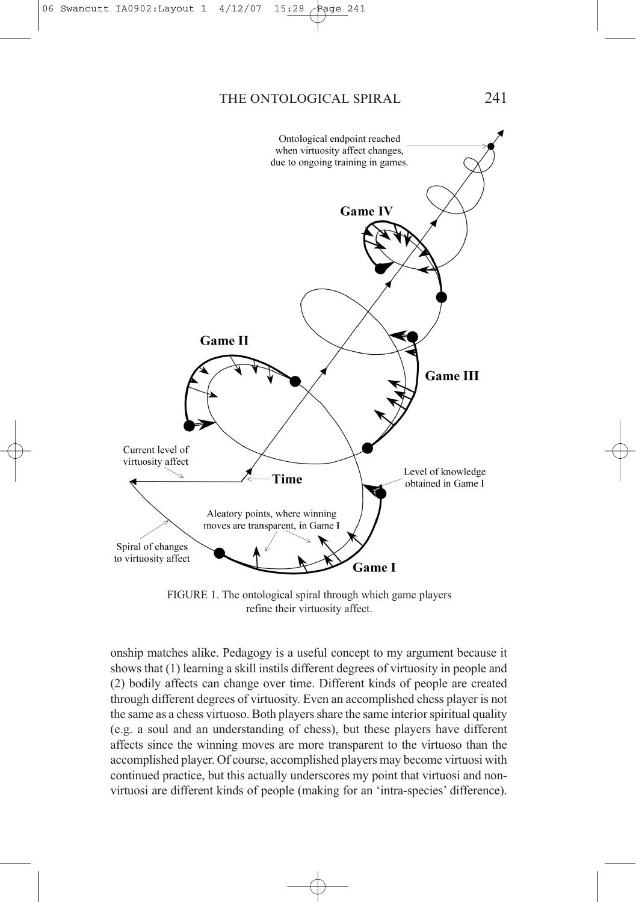

FIGURE 1. The ontological spiral through which game players refine their virtuosity affect.

onship matches alike. Pedagogy is a useful concept to my argument because it shows that (1) learning a skill instils different degrees of virtuosity in people and (2) bodily affects can change over time. Different kinds of people are created through different degrees of virtuosity. Even an accomplished chess player is not the same as a chess virtuoso. Both players share the same interior spiritual quality (e.g. a soul and an understanding of chess), but these players have different affects since the winning moves are more transparent to the virtuoso than the accomplished player. Of course, accomplished players may become virtuosi with continued practice, but this actually underscores my point that virtuosi and nonvirtuosi are different kinds of people (making for an 'intra-species' difference).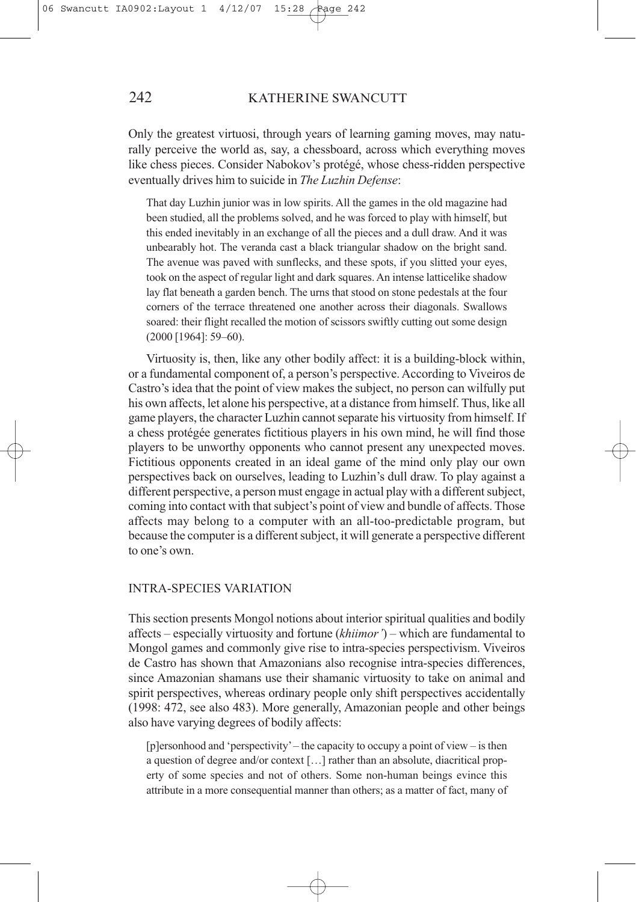Only the greatest virtuosi, through years of learning gaming moves, may naturally perceive the world as, say, a chessboard, across which everything moves like chess pieces. Consider Nabokov's protégé, whose chess-ridden perspective eventually drives him to suicide in *The Luzhin Defense*:

That day Luzhin junior was in low spirits. All the games in the old magazine had been studied, all the problems solved, and he was forced to play with himself, but this ended inevitably in an exchange of all the pieces and a dull draw. And it was unbearably hot. The veranda cast a black triangular shadow on the bright sand. The avenue was paved with sunflecks, and these spots, if you slitted your eyes, took on the aspect of regular light and dark squares. An intense latticelike shadow lay flat beneath a garden bench. The urns that stood on stone pedestals at the four corners of the terrace threatened one another across their diagonals. Swallows soared: their flight recalled the motion of scissors swiftly cutting out some design (2000 [1964]: 59–60).

Virtuosity is, then, like any other bodily affect: it is a building-block within, or a fundamental component of, a person's perspective.According to Viveiros de Castro's idea that the point of view makes the subject, no person can wilfully put his own affects, let alone his perspective, at a distance from himself. Thus, like all game players, the character Luzhin cannot separate his virtuosity from himself. If a chess protégée generates fictitious players in his own mind, he will find those players to be unworthy opponents who cannot present any unexpected moves. Fictitious opponents created in an ideal game of the mind only play our own perspectives back on ourselves, leading to Luzhin's dull draw. To play against a different perspective, a person must engage in actual play with a different subject, coming into contact with that subject's point of view and bundle of affects. Those affects may belong to a computer with an all-too-predictable program, but because the computer is a different subject, it will generate a perspective different to one's own.

# INTRA-SPECIES VARIATION

This section presents Mongol notions about interior spiritual qualities and bodily affects – especially virtuosity and fortune (*khiimor'*) – which are fundamental to Mongol games and commonly give rise to intra-species perspectivism. Viveiros de Castro has shown that Amazonians also recognise intra-species differences, since Amazonian shamans use their shamanic virtuosity to take on animal and spirit perspectives, whereas ordinary people only shift perspectives accidentally (1998: 472, see also 483). More generally, Amazonian people and other beings also have varying degrees of bodily affects:

[p]ersonhood and 'perspectivity' – the capacity to occupy a point of view – is then a question of degree and/or context […] rather than an absolute, diacritical property of some species and not of others. Some non-human beings evince this attribute in a more consequential manner than others; as a matter of fact, many of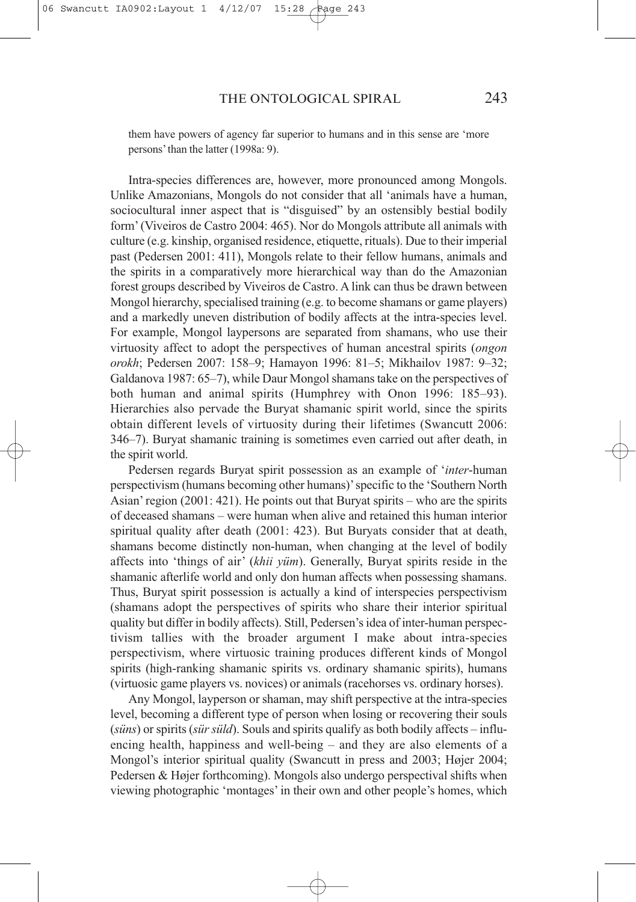them have powers of agency far superior to humans and in this sense are 'more persons'than the latter (1998a: 9).

Intra-species differences are, however, more pronounced among Mongols. Unlike Amazonians, Mongols do not consider that all 'animals have a human, sociocultural inner aspect that is "disguised" by an ostensibly bestial bodily form'(Viveiros de Castro 2004: 465). Nor do Mongols attribute all animals with culture (e.g. kinship, organised residence, etiquette, rituals). Due to their imperial past (Pedersen 2001: 411), Mongols relate to their fellow humans, animals and the spirits in a comparatively more hierarchical way than do the Amazonian forest groups described by Viveiros de Castro. A link can thus be drawn between Mongol hierarchy, specialised training (e.g. to become shamans or game players) and a markedly uneven distribution of bodily affects at the intra-species level. For example, Mongol laypersons are separated from shamans, who use their virtuosity affect to adopt the perspectives of human ancestral spirits (*ongon orokh*; Pedersen 2007: 158–9; Hamayon 1996: 81–5; Mikhailov 1987: 9–32; Galdanova 1987: 65–7), while Daur Mongol shamans take on the perspectives of both human and animal spirits (Humphrey with Onon 1996: 185–93). Hierarchies also pervade the Buryat shamanic spirit world, since the spirits obtain different levels of virtuosity during their lifetimes (Swancutt 2006: 346–7). Buryat shamanic training is sometimes even carried out after death, in the spirit world.

Pedersen regards Buryat spirit possession as an example of '*inter*-human perspectivism (humans becoming other humans)'specific to the 'Southern North Asian' region (2001: 421). He points out that Buryat spirits – who are the spirits of deceased shamans – were human when alive and retained this human interior spiritual quality after death (2001: 423). But Buryats consider that at death, shamans become distinctly non-human, when changing at the level of bodily affects into 'things of air' (*khii yüm*). Generally, Buryat spirits reside in the shamanic afterlife world and only don human affects when possessing shamans. Thus, Buryat spirit possession is actually a kind of interspecies perspectivism (shamans adopt the perspectives of spirits who share their interior spiritual quality but differ in bodily affects). Still, Pedersen'sidea of inter-human perspectivism tallies with the broader argument I make about intra-species perspectivism, where virtuosic training produces different kinds of Mongol spirits (high-ranking shamanic spirits vs. ordinary shamanic spirits), humans (virtuosic game players vs. novices) or animals(racehorses vs. ordinary horses).

Any Mongol, layperson or shaman, may shift perspective at the intra-species level, becoming a different type of person when losing or recovering their souls (*süns*) orspirits(*sürsüld*). Souls and spirits qualify as both bodily affects – influencing health, happiness and well-being – and they are also elements of a Mongol's interior spiritual quality (Swancutt in press and 2003; Højer 2004; Pedersen & Højer forthcoming). Mongols also undergo perspectival shifts when viewing photographic 'montages'in their own and other people's homes, which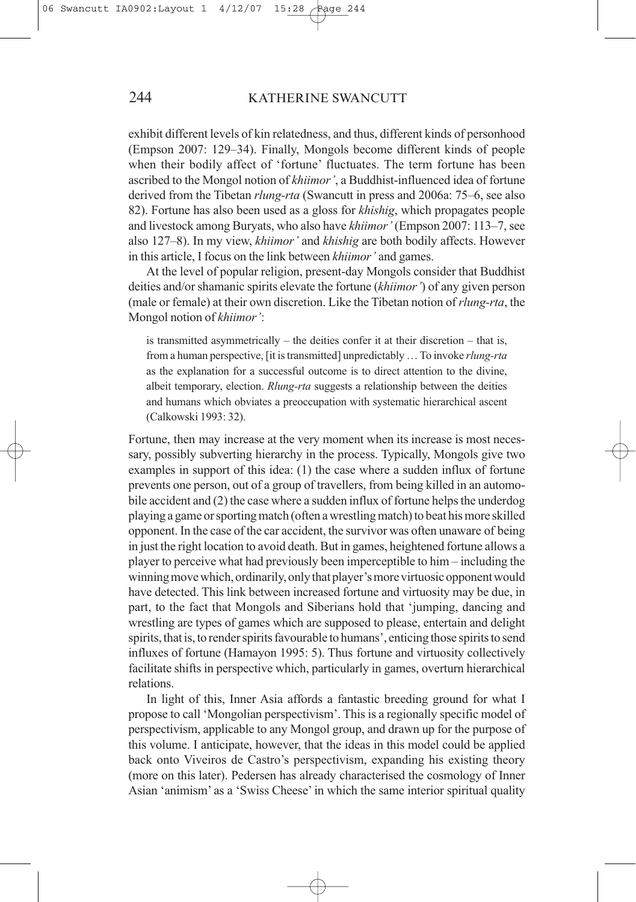exhibit different levels of kin relatedness, and thus, different kinds of personhood (Empson 2007: 129–34). Finally, Mongols become different kinds of people when their bodily affect of 'fortune' fluctuates. The term fortune has been ascribed to the Mongol notion of *khiimor'*, a Buddhist-influenced idea of fortune derived from the Tibetan *rlung-rta* (Swancutt in press and 2006a: 75–6, see also 82). Fortune has also been used as a gloss for *khishig*, which propagates people and livestock among Buryats, who also have *khiimor'* (Empson 2007: 113–7,see also 127–8). In my view, *khiimor'* and *khishig* are both bodily affects. However in this article, I focus on the link between *khiimor'* and games.

At the level of popular religion, present-day Mongols consider that Buddhist deities and/or shamanic spirits elevate the fortune (*khiimor'*) of any given person (male or female) at their own discretion. Like the Tibetan notion of*rlung-rta*, the Mongol notion of *khiimor'*:

is transmitted asymmetrically – the deities confer it at their discretion – that is, from a human perspective, [it istransmitted] unpredictably …To invoke *rlung-rta* as the explanation for a successful outcome is to direct attention to the divine, albeit temporary, election. *Rlung-rta* suggests a relationship between the deities and humans which obviates a preoccupation with systematic hierarchical ascent (Calkowski 1993: 32).

Fortune, then may increase at the very moment when its increase is most necessary, possibly subverting hierarchy in the process. Typically, Mongols give two examples in support of this idea: (1) the case where a sudden influx of fortune prevents one person, out of a group of travellers, from being killed in an automobile accident and (2) the case where a sudden influx of fortune helps the underdog playing a game or sporting match (often a wrestling match) to beat his more skilled opponent. In the case of the car accident, the survivor was often unaware of being in just the right location to avoid death. But in games, heightened fortune allows a player to perceive what had previously been imperceptible to him – including the winning move which, ordinarily, only that player's more virtuosic opponent would have detected. This link between increased fortune and virtuosity may be due, in part, to the fact that Mongols and Siberians hold that 'jumping, dancing and wrestling are types of games which are supposed to please, entertain and delight spirits, that is, to render spirits favourable to humans', enticing those spirits to send influxes of fortune (Hamayon 1995: 5). Thus fortune and virtuosity collectively facilitate shifts in perspective which, particularly in games, overturn hierarchical relations.

In light of this, Inner Asia affords a fantastic breeding ground for what I propose to call 'Mongolian perspectivism'. This is a regionally specific model of perspectivism, applicable to any Mongol group, and drawn up for the purpose of this volume. I anticipate, however, that the ideas in this model could be applied back onto Viveiros de Castro's perspectivism, expanding his existing theory (more on this later). Pedersen has already characterised the cosmology of Inner Asian 'animism' as a 'Swiss Cheese'in which the same interior spiritual quality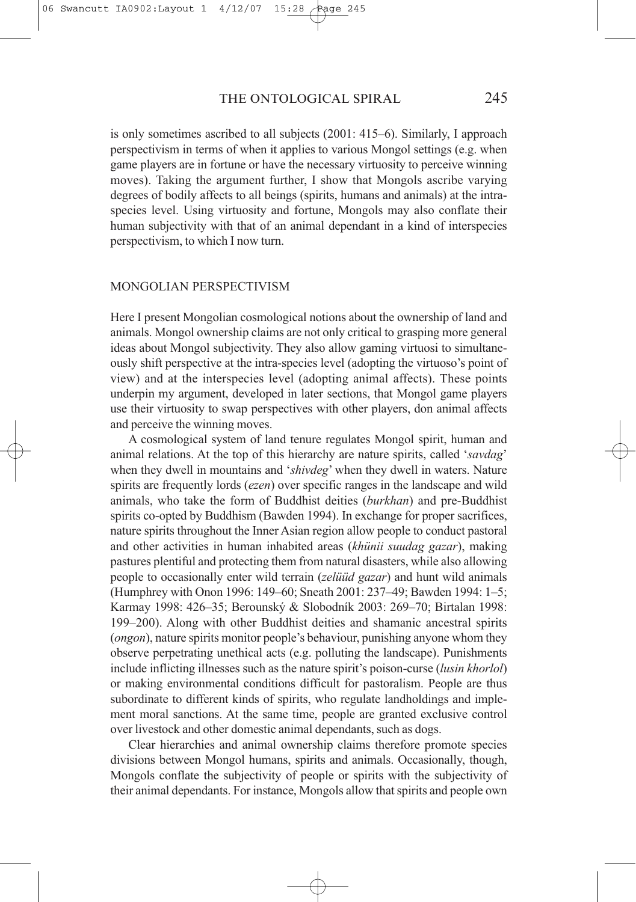is only sometimes ascribed to all subjects (2001: 415–6). Similarly, I approach perspectivism in terms of when it applies to various Mongol settings (e.g. when game players are in fortune or have the necessary virtuosity to perceive winning moves). Taking the argument further, I show that Mongols ascribe varying degrees of bodily affects to all beings (spirits, humans and animals) at the intraspecies level. Using virtuosity and fortune, Mongols may also conflate their human subjectivity with that of an animal dependant in a kind of interspecies perspectivism, to which I now turn.

#### MONGOLIAN PERSPECTIVISM

Here I present Mongolian cosmological notions about the ownership of land and animals. Mongol ownership claims are not only critical to grasping more general ideas about Mongol subjectivity. They also allow gaming virtuosi to simultaneously shift perspective at the intra-species level (adopting the virtuoso's point of view) and at the interspecies level (adopting animal affects). These points underpin my argument, developed in later sections, that Mongol game players use their virtuosity to swap perspectives with other players, don animal affects and perceive the winning moves.

A cosmological system of land tenure regulates Mongol spirit, human and animal relations. At the top of this hierarchy are nature spirits, called '*savdag*' when they dwell in mountains and '*shivdeg*' when they dwell in waters. Nature spirits are frequently lords (*ezen*) over specific ranges in the landscape and wild animals, who take the form of Buddhist deities (*burkhan*) and pre-Buddhist spirits co-opted by Buddhism (Bawden 1994). In exchange for proper sacrifices, nature spirits throughout the Inner Asian region allow people to conduct pastoral and other activities in human inhabited areas (*khünii suudag gazar*), making pastures plentiful and protecting them from natural disasters, while also allowing people to occasionally enter wild terrain (*zelüüd gazar*) and hunt wild animals (Humphrey with Onon 1996: 149–60; Sneath 2001: 237–49; Bawden 1994: 1–5; Karmay 1998: 426–35; Berounský & Slobodník 2003: 269–70; Birtalan 1998: 199–200). Along with other Buddhist deities and shamanic ancestral spirits (*ongon*), nature spirits monitor people's behaviour, punishing anyone whom they observe perpetrating unethical acts (e.g. polluting the landscape). Punishments include inflicting illnesses such as the nature spirit's poison-curse (*lusin khorlol*) or making environmental conditions difficult for pastoralism. People are thus subordinate to different kinds of spirits, who regulate landholdings and implement moral sanctions. At the same time, people are granted exclusive control over livestock and other domestic animal dependants, such as dogs.

Clear hierarchies and animal ownership claims therefore promote species divisions between Mongol humans, spirits and animals. Occasionally, though, Mongols conflate the subjectivity of people or spirits with the subjectivity of their animal dependants. For instance, Mongols allow thatspirits and people own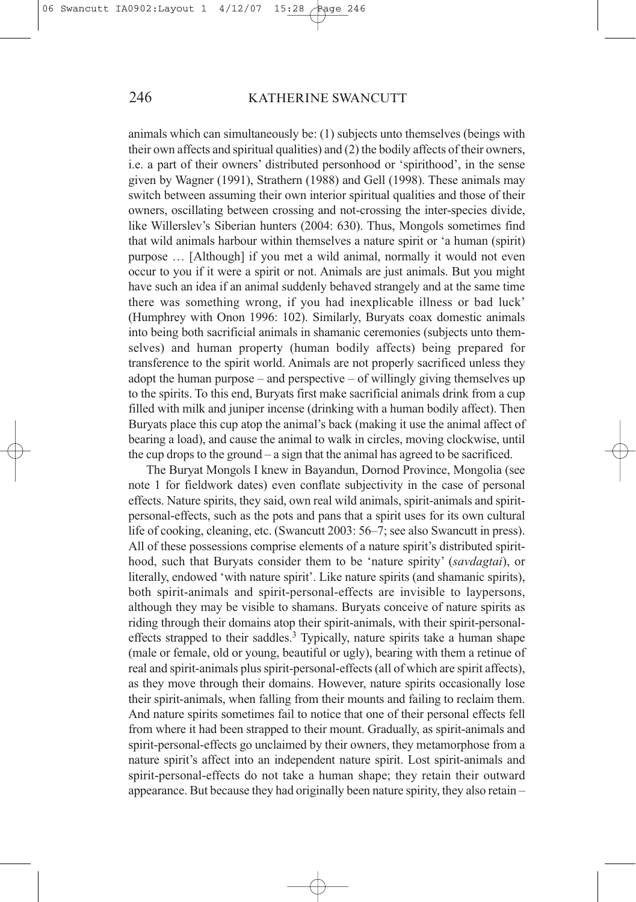animals which can simultaneously be: (1) subjects unto themselves (beings with their own affects and spiritual qualities) and (2) the bodily affects of their owners, i.e. a part of their owners' distributed personhood or 'spirithood', in the sense given by Wagner (1991), Strathern (1988) and Gell (1998). These animals may switch between assuming their own interior spiritual qualities and those of their owners, oscillating between crossing and not-crossing the inter-species divide, like Willerslev's Siberian hunters (2004: 630). Thus, Mongols sometimes find that wild animals harbour within themselves a nature spirit or 'a human (spirit) purpose … [Although] if you met a wild animal, normally it would not even occur to you if it were a spirit or not. Animals are just animals. But you might have such an idea if an animal suddenly behaved strangely and at the same time there was something wrong, if you had inexplicable illness or bad luck' (Humphrey with Onon 1996: 102). Similarly, Buryats coax domestic animals into being both sacrificial animals in shamanic ceremonies (subjects unto themselves) and human property (human bodily affects) being prepared for transference to the spirit world. Animals are not properly sacrificed unless they adopt the human purpose – and perspective – of willingly giving themselves up to the spirits. To this end, Buryats first make sacrificial animals drink from a cup filled with milk and juniper incense (drinking with a human bodily affect). Then Buryats place this cup atop the animal's back (making it use the animal affect of bearing a load), and cause the animal to walk in circles, moving clockwise, until the cup drops to the ground  $-$  a sign that the animal has agreed to be sacrificed.

The Buryat Mongols I knew in Bayandun, Dornod Province, Mongolia (see note 1 for fieldwork dates) even conflate subjectivity in the case of personal effects. Nature spirits, they said, own real wild animals, spirit-animals and spiritpersonal-effects, such as the pots and pans that a spirit uses for its own cultural life of cooking, cleaning, etc. (Swancutt 2003: 56–7; see also Swancutt in press). All of these possessions comprise elements of a nature spirit's distributed spirithood, such that Buryats consider them to be 'nature spirity' (*savdagtai*), or literally, endowed 'with nature spirit'. Like nature spirits (and shamanic spirits), both spirit-animals and spirit-personal-effects are invisible to laypersons, although they may be visible to shamans. Buryats conceive of nature spirits as riding through their domains atop their spirit-animals, with their spirit-personaleffects strapped to their saddles. <sup>3</sup> Typically, nature spirits take a human shape (male or female, old or young, beautiful or ugly), bearing with them a retinue of real and spirit-animals plus spirit-personal-effects (all of which are spirit affects), as they move through their domains. However, nature spirits occasionally lose their spirit-animals, when falling from their mounts and failing to reclaim them. And nature spirits sometimes fail to notice that one of their personal effects fell from where it had been strapped to their mount. Gradually, as spirit-animals and spirit-personal-effects go unclaimed by their owners, they metamorphose from a nature spirit's affect into an independent nature spirit. Lost spirit-animals and spirit-personal-effects do not take a human shape; they retain their outward appearance. But because they had originally been nature spirity, they also retain –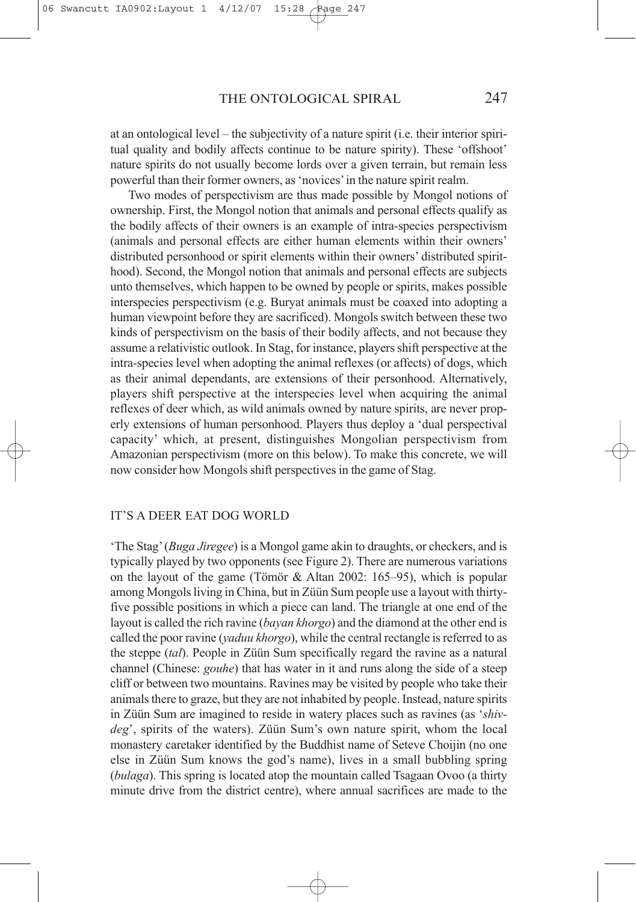at an ontological level – the subjectivity of a nature spirit (i.e. their interior spiritual quality and bodily affects continue to be nature spirity). These 'offshoot' nature spirits do not usually become lords over a given terrain, but remain less powerful than their former owners, as'novices'in the nature spirit realm.

Two modes of perspectivism are thus made possible by Mongol notions of ownership. First, the Mongol notion that animals and personal effects qualify as the bodily affects of their owners is an example of intra-species perspectivism (animals and personal effects are either human elements within their owners' distributed personhood or spirit elements within their owners' distributed spirithood). Second, the Mongol notion that animals and personal effects are subjects unto themselves, which happen to be owned by people or spirits, makes possible interspecies perspectivism (e.g. Buryat animals must be coaxed into adopting a human viewpoint before they are sacrificed). Mongols switch between these two kinds of perspectivism on the basis of their bodily affects, and not because they assume a relativistic outlook. In Stag, for instance, players shift perspective at the intra-species level when adopting the animal reflexes (or affects) of dogs, which as their animal dependants, are extensions of their personhood. Alternatively, players shift perspective at the interspecies level when acquiring the animal reflexes of deer which, as wild animals owned by nature spirits, are never properly extensions of human personhood. Players thus deploy a 'dual perspectival capacity' which, at present, distinguishes Mongolian perspectivism from Amazonian perspectivism (more on this below). To make this concrete, we will now consider how Mongols shift perspectives in the game of Stag.

# IT'S A DEER EAT DOG WORLD

'The Stag'(*Buga Jiregee*) is a Mongol game akin to draughts, or checkers, and is typically played by two opponents (see Figure 2). There are numerous variations on the layout of the game (Tömör & Altan 2002: 165–95), which is popular among Mongolsliving in China, but in Züün Sum people use a layout with thirtyfive possible positions in which a piece can land. The triangle at one end of the layout is called the rich ravine (*bayan khorgo*) and the diamond at the other end is called the poor ravine (*yaduu khorgo*), while the central rectangle is referred to as the steppe (*tal*). People in Züün Sum specifically regard the ravine as a natural channel (Chinese: *gouhe*) that has water in it and runs along the side of a steep cliff or between two mountains. Ravines may be visited by people who take their animals there to graze, but they are not inhabited by people. Instead, nature spirits in Züün Sum are imagined to reside in watery places such as ravines (as '*shivdeg*', spirits of the waters). Züün Sum's own nature spirit, whom the local monastery caretaker identified by the Buddhist name of Seteve Choijin (no one else in Züün Sum knows the god's name), lives in a small bubbling spring (*bulaga*). This spring is located atop the mountain called Tsagaan Ovoo (a thirty minute drive from the district centre), where annual sacrifices are made to the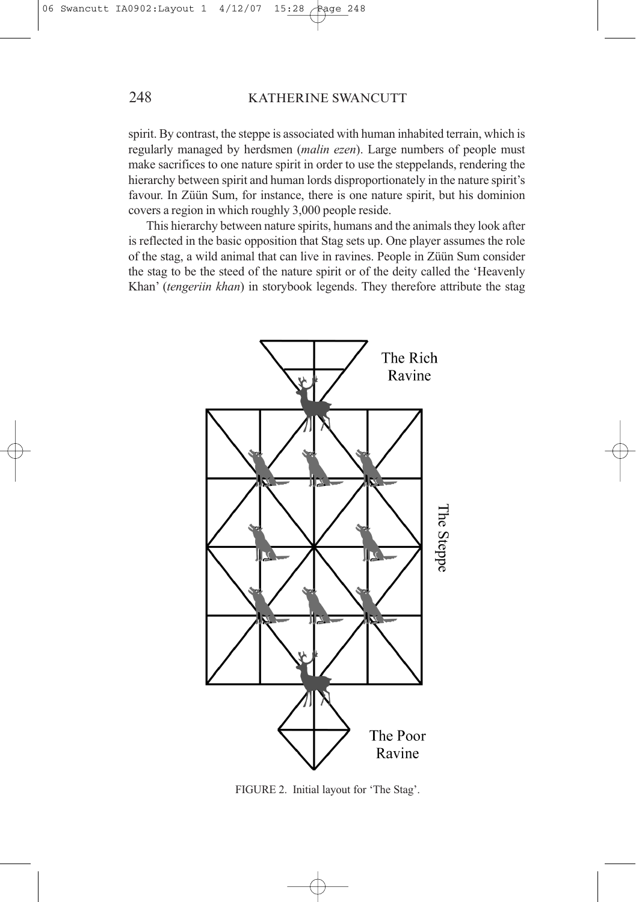spirit. By contrast, the steppe is associated with human inhabited terrain, which is regularly managed by herdsmen (*malin ezen*). Large numbers of people must make sacrifices to one nature spirit in order to use the steppelands, rendering the hierarchy between spirit and human lords disproportionately in the nature spirit's favour. In Züün Sum, for instance, there is one nature spirit, but his dominion covers a region in which roughly 3,000 people reside.

This hierarchy between nature spirits, humans and the animals they look after is reflected in the basic opposition that Stag sets up. One player assumes the role of the stag, a wild animal that can live in ravines. People in Züün Sum consider the stag to be the steed of the nature spirit or of the deity called the 'Heavenly Khan' (*tengeriin khan*) in storybook legends. They therefore attribute the stag



FIGURE 2. Initial layout for 'The Stag'.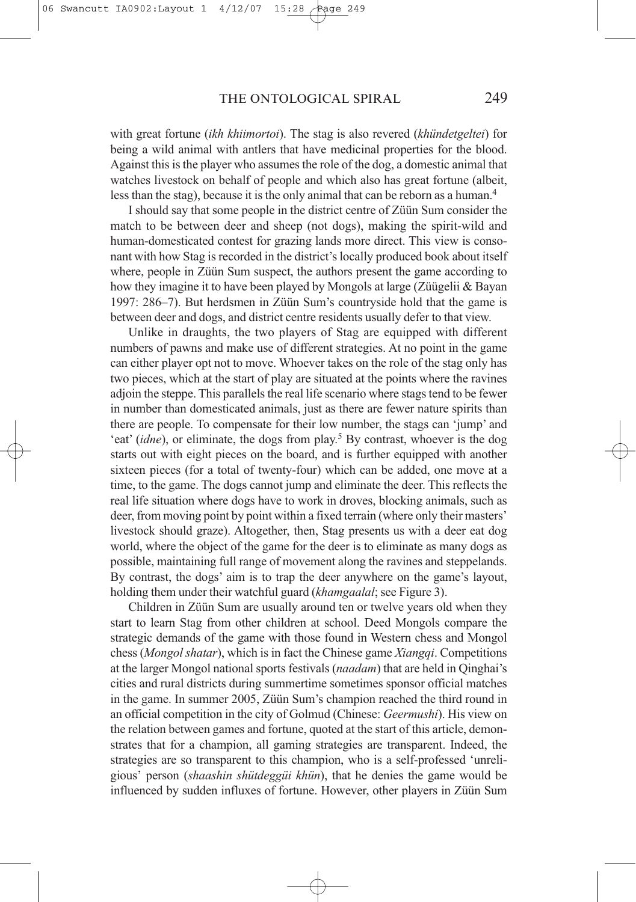with great fortune (*ikh khiimortoi*). The stag is also revered (*khündetgeltei*) for being a wild animal with antlers that have medicinal properties for the blood. Against this is the player who assumes the role of the dog, a domestic animal that watches livestock on behalf of people and which also has great fortune (albeit, less than the stag), because it is the only animal that can be reborn as a human.<sup>4</sup>

I should say that some people in the district centre of Züün Sum consider the match to be between deer and sheep (not dogs), making the spirit-wild and human-domesticated contest for grazing lands more direct. This view is consonant with how Stag is recorded in the district's locally produced book about itself where, people in Züün Sum suspect, the authors present the game according to how they imagine it to have been played by Mongols at large (Züügelii & Bayan 1997: 286–7). But herdsmen in Züün Sum's countryside hold that the game is between deer and dogs, and district centre residents usually defer to that view.

Unlike in draughts, the two players of Stag are equipped with different numbers of pawns and make use of different strategies. At no point in the game can either player opt not to move. Whoever takes on the role of the stag only has two pieces, which at the start of play are situated at the points where the ravines adjoin the steppe. This parallels the real life scenario where stags tend to be fewer in number than domesticated animals, just as there are fewer nature spirits than there are people. To compensate for their low number, the stags can 'jump' and 'eat' (*idne*), or eliminate, the dogs from play.<sup>5</sup> By contrast, whoever is the dog starts out with eight pieces on the board, and is further equipped with another sixteen pieces (for a total of twenty-four) which can be added, one move at a time, to the game. The dogs cannot jump and eliminate the deer. This reflects the real life situation where dogs have to work in droves, blocking animals, such as deer, from moving point by point within a fixed terrain (where only their masters' livestock should graze). Altogether, then, Stag presents us with a deer eat dog world, where the object of the game for the deer is to eliminate as many dogs as possible, maintaining full range of movement along the ravines and steppelands. By contrast, the dogs' aim is to trap the deer anywhere on the game's layout, holding them under their watchful guard *(khamgaalal*; see Figure 3).

Children in Züün Sum are usually around ten or twelve years old when they start to learn Stag from other children at school. Deed Mongols compare the strategic demands of the game with those found in Western chess and Mongol chess (*Mongol shatar*), which is in fact the Chinese game *Xiangqi*. Competitions at the larger Mongol national sports festivals (*naadam*) that are held in Qinghai's cities and rural districts during summertime sometimes sponsor official matches in the game. In summer 2005, Züün Sum's champion reached the third round in an official competition in the city of Golmud (Chinese: *Geermushi*). His view on the relation between games and fortune, quoted at the start of this article, demonstrates that for a champion, all gaming strategies are transparent. Indeed, the strategies are so transparent to this champion, who is a self-professed 'unreligious' person (*shaashin shütdeggüi khün*), that he denies the game would be influenced by sudden influxes of fortune. However, other players in Züün Sum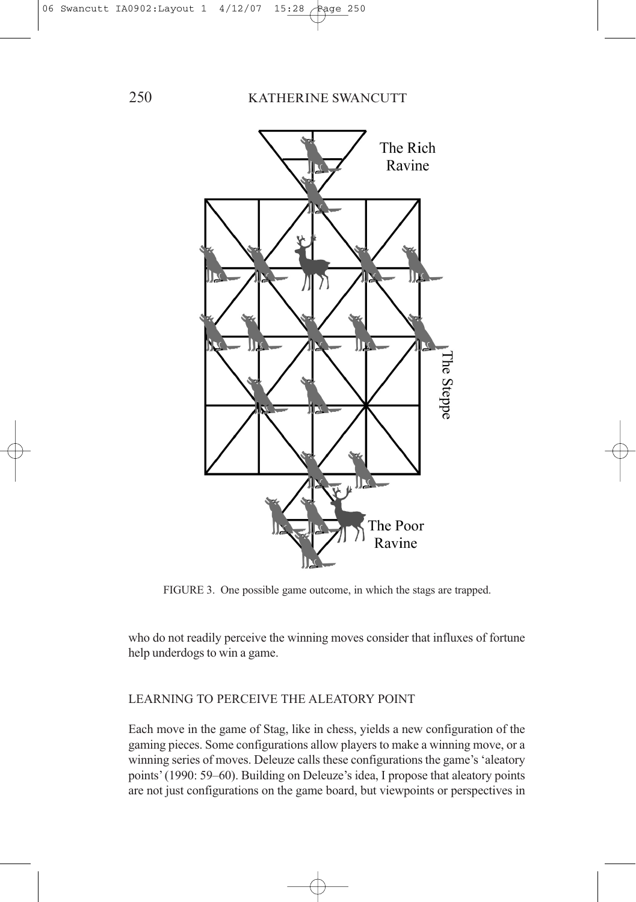

FIGURE 3. One possible game outcome, in which the stags are trapped.

who do not readily perceive the winning moves consider that influxes of fortune help underdogs to win a game.

# LEARNING TO PERCEIVE THE ALEATORY POINT

Each move in the game of Stag, like in chess, yields a new configuration of the gaming pieces. Some configurations allow players to make a winning move, or a winning series of moves. Deleuze calls these configurations the game's 'aleatory points'(1990: 59–60). Building on Deleuze's idea, I propose that aleatory points are not just configurations on the game board, but viewpoints or perspectives in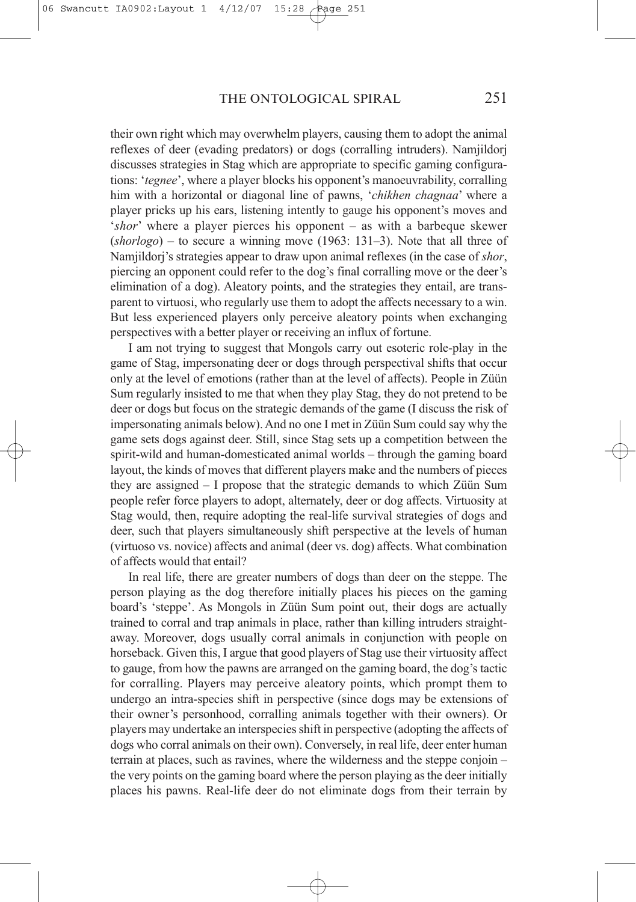their own right which may overwhelm players, causing them to adopt the animal reflexes of deer (evading predators) or dogs (corralling intruders). Namjildorj discusses strategies in Stag which are appropriate to specific gaming configurations: '*tegnee*', where a player blocks his opponent's manoeuvrability, corralling him with a horizontal or diagonal line of pawns, '*chikhen chagnaa*' where a player pricks up his ears, listening intently to gauge his opponent's moves and '*shor*' where a player pierces his opponent – as with a barbeque skewer (*shorlogo*) – to secure a winning move (1963: 131–3). Note that all three of Namjildorj's strategies appear to draw upon animal reflexes (in the case of *shor*, piercing an opponent could refer to the dog's final corralling move or the deer's elimination of a dog). Aleatory points, and the strategies they entail, are transparent to virtuosi, who regularly use them to adopt the affects necessary to a win. But less experienced players only perceive aleatory points when exchanging perspectives with a better player or receiving an influx of fortune.

I am not trying to suggest that Mongols carry out esoteric role-play in the game of Stag, impersonating deer or dogs through perspectival shifts that occur only at the level of emotions (rather than at the level of affects). People in Züün Sum regularly insisted to me that when they play Stag, they do not pretend to be deer or dogs but focus on the strategic demands of the game (I discuss the risk of impersonating animals below).And no one I met in Züün Sum could say why the game sets dogs against deer. Still, since Stag sets up a competition between the spirit-wild and human-domesticated animal worlds – through the gaming board layout, the kinds of moves that different players make and the numbers of pieces they are assigned – I propose that the strategic demands to which Züün Sum people refer force players to adopt, alternately, deer or dog affects. Virtuosity at Stag would, then, require adopting the real-life survival strategies of dogs and deer, such that players simultaneously shift perspective at the levels of human (virtuoso vs. novice) affects and animal (deer vs. dog) affects. What combination of affects would that entail?

In real life, there are greater numbers of dogs than deer on the steppe. The person playing as the dog therefore initially places his pieces on the gaming board's 'steppe'. As Mongols in Züün Sum point out, their dogs are actually trained to corral and trap animals in place, rather than killing intruders straightaway. Moreover, dogs usually corral animals in conjunction with people on horseback. Given this, I argue that good players of Stag use their virtuosity affect to gauge, from how the pawns are arranged on the gaming board, the dog's tactic for corralling. Players may perceive aleatory points, which prompt them to undergo an intra-species shift in perspective (since dogs may be extensions of their owner's personhood, corralling animals together with their owners). Or players may undertake an interspeciesshift in perspective (adopting the affects of dogs who corral animals on their own). Conversely, in real life, deer enter human terrain at places, such as ravines, where the wilderness and the steppe conjoin – the very points on the gaming board where the person playing asthe deer initially places his pawns. Real-life deer do not eliminate dogs from their terrain by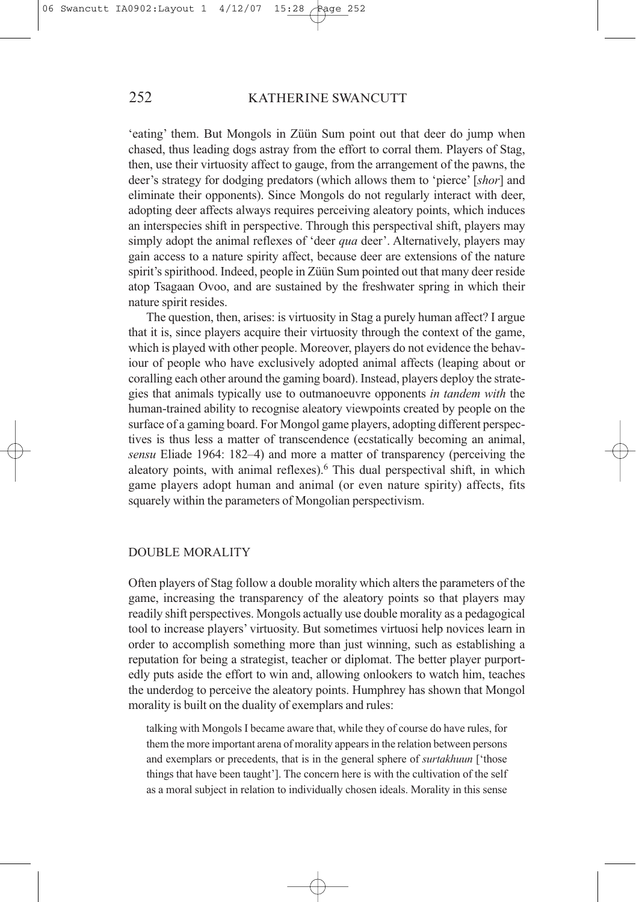'eating' them. But Mongols in Züün Sum point out that deer do jump when chased, thus leading dogs astray from the effort to corral them. Players of Stag, then, use their virtuosity affect to gauge, from the arrangement of the pawns, the deer's strategy for dodging predators (which allows them to 'pierce' [*shor*] and eliminate their opponents). Since Mongols do not regularly interact with deer, adopting deer affects always requires perceiving aleatory points, which induces an interspecies shift in perspective. Through this perspectival shift, players may simply adopt the animal reflexes of 'deer *qua* deer'. Alternatively, players may gain access to a nature spirity affect, because deer are extensions of the nature spirit's spirithood. Indeed, people in Züün Sum pointed out that many deer reside atop Tsagaan Ovoo, and are sustained by the freshwater spring in which their nature spirit resides.

The question, then, arises: is virtuosity in Stag a purely human affect? I argue that it is, since players acquire their virtuosity through the context of the game, which is played with other people. Moreover, players do not evidence the behaviour of people who have exclusively adopted animal affects (leaping about or coralling each other around the gaming board). Instead, players deploy the strategies that animals typically use to outmanoeuvre opponents *in tandem with* the human-trained ability to recognise aleatory viewpoints created by people on the surface of a gaming board. For Mongol game players, adopting different perspectives is thus less a matter of transcendence (ecstatically becoming an animal, *sensu* Eliade 1964: 182–4) and more a matter of transparency (perceiving the aleatory points, with animal reflexes). <sup>6</sup> This dual perspectival shift, in which game players adopt human and animal (or even nature spirity) affects, fits squarely within the parameters of Mongolian perspectivism.

# DOUBLE MORALITY

Often players of Stag follow a double morality which alters the parameters of the game, increasing the transparency of the aleatory points so that players may readily shift perspectives. Mongols actually use double morality as a pedagogical tool to increase players' virtuosity. But sometimes virtuosi help novices learn in order to accomplish something more than just winning, such as establishing a reputation for being a strategist, teacher or diplomat. The better player purportedly puts aside the effort to win and, allowing onlookers to watch him, teaches the underdog to perceive the aleatory points. Humphrey has shown that Mongol morality is built on the duality of exemplars and rules:

talking with Mongols I became aware that, while they of course do have rules, for them the more important arena of morality appears in the relation between persons and exemplars or precedents, that is in the general sphere of *surtakhuun* ['those things that have been taught']. The concern here is with the cultivation of the self as a moral subject in relation to individually chosen ideals. Morality in this sense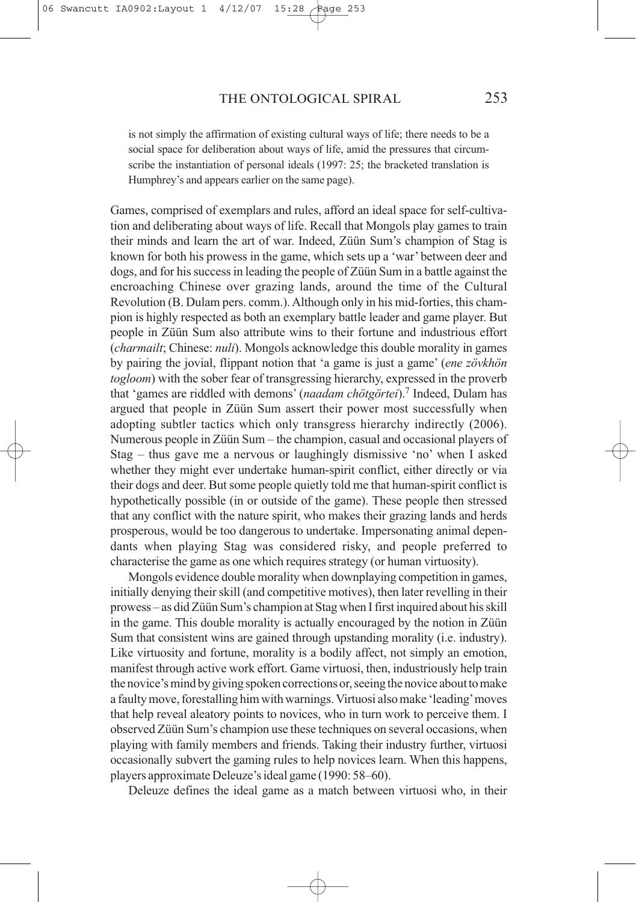is not simply the affirmation of existing cultural ways of life; there needs to be a social space for deliberation about ways of life, amid the pressures that circumscribe the instantiation of personal ideals (1997: 25; the bracketed translation is Humphrey's and appears earlier on the same page).

Games, comprised of exemplars and rules, afford an ideal space for self-cultivation and deliberating about ways of life. Recall that Mongols play games to train their minds and learn the art of war. Indeed, Züün Sum's champion of Stag is known for both his prowess in the game, which sets up a 'war' between deer and dogs, and for hissuccessin leading the people of Züün Sum in a battle against the encroaching Chinese over grazing lands, around the time of the Cultural Revolution (B. Dulam pers. comm.).Although only in his mid-forties, this champion is highly respected as both an exemplary battle leader and game player. But people in Züün Sum also attribute wins to their fortune and industrious effort (*charmailt*; Chinese: *nuli*). Mongols acknowledge this double morality in games by pairing the jovial, flippant notion that 'a game is just a game' (*ene zövkhön togloom*) with the sober fear of transgressing hierarchy, expressed in the proverb that 'games are riddled with demons' (*naadam chötgörtei*). <sup>7</sup> Indeed, Dulam has argued that people in Züün Sum assert their power most successfully when adopting subtler tactics which only transgress hierarchy indirectly (2006). Numerous people in Züün Sum – the champion, casual and occasional players of Stag – thus gave me a nervous or laughingly dismissive 'no' when I asked whether they might ever undertake human-spirit conflict, either directly or via their dogs and deer. But some people quietly told me that human-spirit conflict is hypothetically possible (in or outside of the game). These people then stressed that any conflict with the nature spirit, who makes their grazing lands and herds prosperous, would be too dangerous to undertake. Impersonating animal dependants when playing Stag was considered risky, and people preferred to characterise the game as one which requires strategy (or human virtuosity).

Mongols evidence double morality when downplaying competition in games, initially denying their skill (and competitive motives), then later revelling in their prowess – as didZüün Sum's champion at Stag when Ifirst inquired about hisskill in the game. This double morality is actually encouraged by the notion in Züün Sum that consistent wins are gained through upstanding morality (i.e. industry). Like virtuosity and fortune, morality is a bodily affect, not simply an emotion, manifest through active work effort. Game virtuosi, then, industriously help train the novice's mind by giving spoken corrections or, seeing the novice about to make a faulty move, forestalling him with warnings. Virtuosi also make 'leading' moves that help reveal aleatory points to novices, who in turn work to perceive them. I observed Züün Sum's champion use these techniques on several occasions, when playing with family members and friends. Taking their industry further, virtuosi occasionally subvert the gaming rules to help novices learn. When this happens, players approximate Deleuze's ideal game (1990: 58–60).

Deleuze defines the ideal game as a match between virtuosi who, in their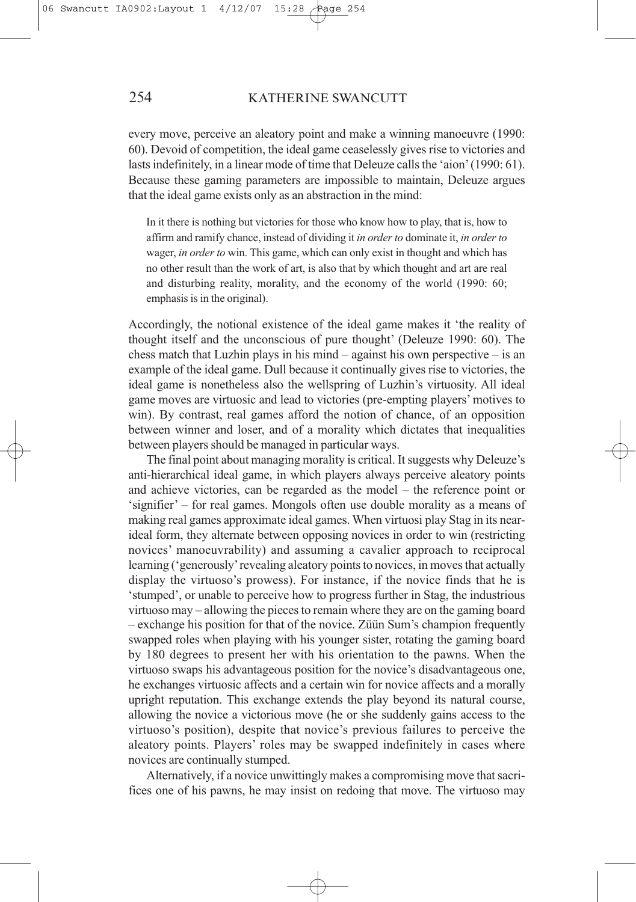every move, perceive an aleatory point and make a winning manoeuvre (1990: 60). Devoid of competition, the ideal game ceaselessly gives rise to victories and lasts indefinitely, in a linear mode of time that Deleuze calls the 'aion' (1990: 61). Because these gaming parameters are impossible to maintain, Deleuze argues that the ideal game exists only as an abstraction in the mind:

In it there is nothing but victories for those who know how to play, that is, how to affirm and ramify chance, instead of dividing it *in orderto* dominate it, *in orderto* wager, *in order to* win. This game, which can only exist in thought and which has no other result than the work of art, is also that by which thought and art are real and disturbing reality, morality, and the economy of the world (1990: 60; emphasis is in the original).

Accordingly, the notional existence of the ideal game makes it 'the reality of thought itself and the unconscious of pure thought' (Deleuze 1990: 60). The chess match that Luzhin plays in his mind – against his own perspective – is an example of the ideal game. Dull because it continually gives rise to victories, the ideal game is nonetheless also the wellspring of Luzhin's virtuosity. All ideal game moves are virtuosic and lead to victories (pre-empting players' motives to win). By contrast, real games afford the notion of chance, of an opposition between winner and loser, and of a morality which dictates that inequalities between players should be managed in particular ways.

The final point about managing morality is critical. It suggests why Deleuze's anti-hierarchical ideal game, in which players always perceive aleatory points and achieve victories, can be regarded as the model – the reference point or 'signifier' – for real games. Mongols often use double morality as a means of making real games approximate ideal games. When virtuosi play Stag in its nearideal form, they alternate between opposing novices in order to win (restricting novices' manoeuvrability) and assuming a cavalier approach to reciprocal learning ('generously' revealing aleatory points to novices, in moves that actually display the virtuoso's prowess). For instance, if the novice finds that he is 'stumped', or unable to perceive how to progress further in Stag, the industrious virtuoso may – allowing the piecesto remain where they are on the gaming board – exchange his position for that of the novice. Züün Sum's champion frequently swapped roles when playing with his younger sister, rotating the gaming board by 180 degrees to present her with his orientation to the pawns. When the virtuoso swaps his advantageous position for the novice's disadvantageous one, he exchanges virtuosic affects and a certain win for novice affects and a morally upright reputation. This exchange extends the play beyond its natural course, allowing the novice a victorious move (he or she suddenly gains access to the virtuoso's position), despite that novice's previous failures to perceive the aleatory points. Players' roles may be swapped indefinitely in cases where novices are continually stumped.

Alternatively, if a novice unwittingly makes a compromising move that sacrifices one of his pawns, he may insist on redoing that move. The virtuoso may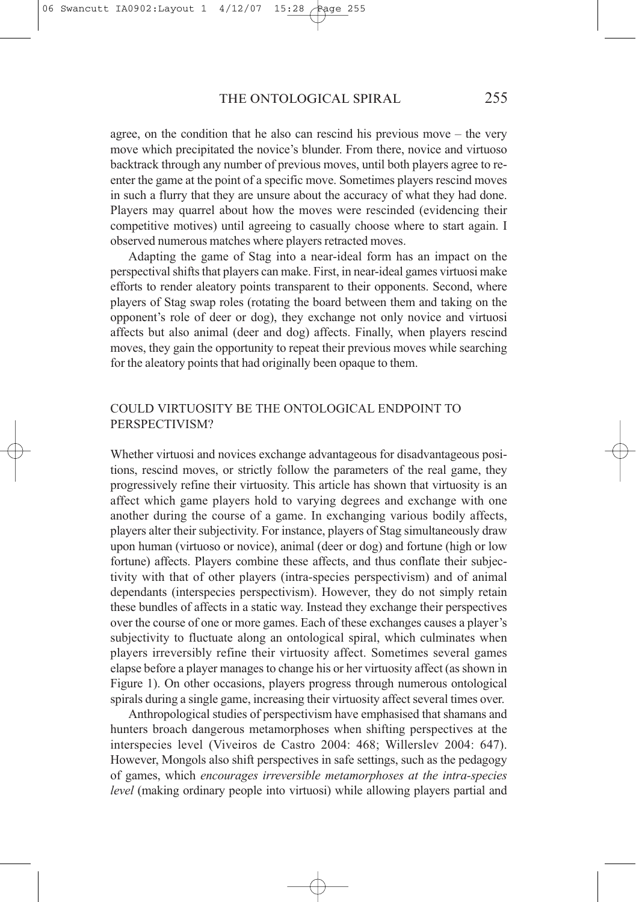agree, on the condition that he also can rescind his previous move – the very move which precipitated the novice's blunder. From there, novice and virtuoso backtrack through any number of previous moves, until both players agree to reenter the game at the point of a specific move. Sometimes players rescind moves in such a flurry that they are unsure about the accuracy of what they had done. Players may quarrel about how the moves were rescinded (evidencing their competitive motives) until agreeing to casually choose where to start again. I observed numerous matches where players retracted moves.

Adapting the game of Stag into a near-ideal form has an impact on the perspectival shifts that players can make. First, in near-ideal games virtuosi make efforts to render aleatory points transparent to their opponents. Second, where players of Stag swap roles (rotating the board between them and taking on the opponent's role of deer or dog), they exchange not only novice and virtuosi affects but also animal (deer and dog) affects. Finally, when players rescind moves, they gain the opportunity to repeat their previous moves while searching for the aleatory points that had originally been opaque to them.

# COULD VIRTUOSITY BE THE ONTOLOGICAL ENDPOINT TO PERSPECTIVISM?

Whether virtuosi and novices exchange advantageous for disadvantageous positions, rescind moves, or strictly follow the parameters of the real game, they progressively refine their virtuosity. This article has shown that virtuosity is an affect which game players hold to varying degrees and exchange with one another during the course of a game. In exchanging various bodily affects, players alter their subjectivity. For instance, players of Stag simultaneously draw upon human (virtuoso or novice), animal (deer or dog) and fortune (high or low fortune) affects. Players combine these affects, and thus conflate their subjectivity with that of other players (intra-species perspectivism) and of animal dependants (interspecies perspectivism). However, they do not simply retain these bundles of affects in a static way. Instead they exchange their perspectives over the course of one or more games. Each of these exchanges causes a player's subjectivity to fluctuate along an ontological spiral, which culminates when players irreversibly refine their virtuosity affect. Sometimes several games elapse before a player manages to change his or her virtuosity affect (as shown in Figure 1). On other occasions, players progress through numerous ontological spirals during a single game, increasing their virtuosity affect several times over.

Anthropological studies of perspectivism have emphasised that shamans and hunters broach dangerous metamorphoses when shifting perspectives at the interspecies level (Viveiros de Castro 2004: 468; Willerslev 2004: 647). However, Mongols also shift perspectives in safe settings, such as the pedagogy of games, which *encourages irreversible metamorphoses at the intra-species level* (making ordinary people into virtuosi) while allowing players partial and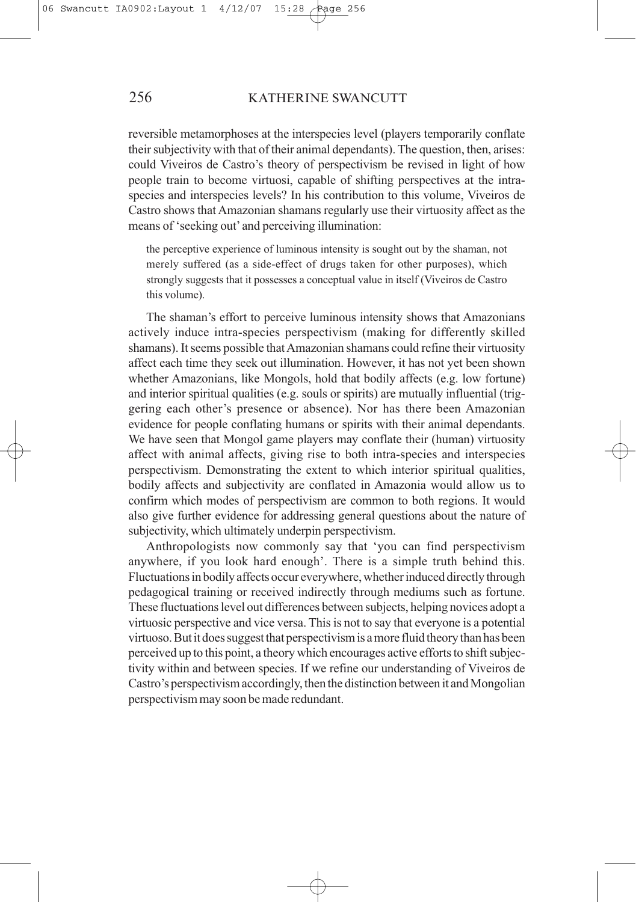reversible metamorphoses at the interspecies level (players temporarily conflate their subjectivity with that of their animal dependants). The question, then, arises: could Viveiros de Castro's theory of perspectivism be revised in light of how people train to become virtuosi, capable of shifting perspectives at the intraspecies and interspecies levels? In his contribution to this volume, Viveiros de Castro shows that Amazonian shamans regularly use their virtuosity affect as the means of 'seeking out' and perceiving illumination:

the perceptive experience of luminous intensity is sought out by the shaman, not merely suffered (as a side-effect of drugs taken for other purposes), which strongly suggests that it possesses a conceptual value in itself (Viveiros de Castro this volume).

The shaman's effort to perceive luminous intensity shows that Amazonians actively induce intra-species perspectivism (making for differently skilled shamans). It seems possible that Amazonian shamans could refine their virtuosity affect each time they seek out illumination. However, it has not yet been shown whether Amazonians, like Mongols, hold that bodily affects (e.g. low fortune) and interior spiritual qualities (e.g. souls or spirits) are mutually influential (triggering each other's presence or absence). Nor has there been Amazonian evidence for people conflating humans or spirits with their animal dependants. We have seen that Mongol game players may conflate their (human) virtuosity affect with animal affects, giving rise to both intra-species and interspecies perspectivism. Demonstrating the extent to which interior spiritual qualities, bodily affects and subjectivity are conflated in Amazonia would allow us to confirm which modes of perspectivism are common to both regions. It would also give further evidence for addressing general questions about the nature of subjectivity, which ultimately underpin perspectivism.

Anthropologists now commonly say that 'you can find perspectivism anywhere, if you look hard enough'. There is a simple truth behind this. Fluctuations in bodily affects occur everywhere, whether induced directly through pedagogical training or received indirectly through mediums such as fortune. These fluctuations level out differences between subjects, helping novices adopt a virtuosic perspective and vice versa. This is not to say that everyone is a potential virtuoso. But it does suggest that perspectivism is a more fluid theory than has been perceived up to this point, a theory which encourages active efforts to shift subjectivity within and between species. If we refine our understanding of Viveiros de Castro's perspectivism accordingly, then the distinction between it and Mongolian perspectivismmay soon bemade redundant.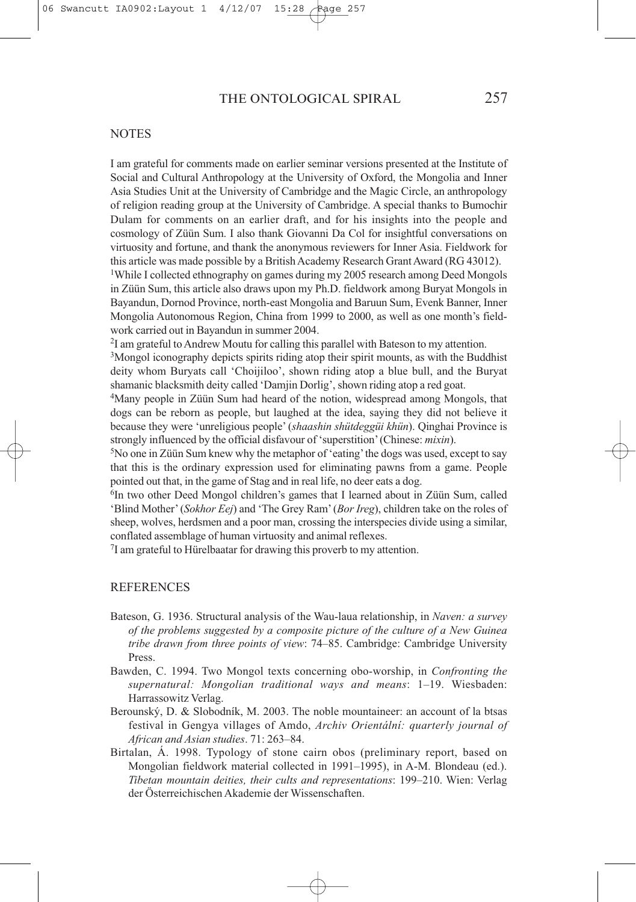#### **NOTES**

I am grateful for comments made on earlier seminar versions presented at the Institute of Social and Cultural Anthropology at the University of Oxford, the Mongolia and Inner Asia Studies Unit at the University of Cambridge and the Magic Circle, an anthropology of religion reading group at the University of Cambridge. A special thanks to Bumochir Dulam for comments on an earlier draft, and for his insights into the people and cosmology of Züün Sum. I also thank Giovanni Da Col for insightful conversations on virtuosity and fortune, and thank the anonymous reviewers for Inner Asia. Fieldwork for this article was made possible by a British Academy Research Grant Award (RG 43012). <sup>1</sup>While I collected ethnography on games during my 2005 research among Deed Mongols in Züün Sum, this article also draws upon my Ph.D. fieldwork among Buryat Mongols in Bayandun, Dornod Province, north-east Mongolia and Baruun Sum, Evenk Banner, Inner Mongolia Autonomous Region, China from 1999 to 2000, as well as one month's fieldwork carried out in Bayandun in summer 2004.

<sup>2</sup>I am grateful to Andrew Moutu for calling this parallel with Bateson to my attention.

<sup>3</sup>Mongol iconography depicts spirits riding atop their spirit mounts, as with the Buddhist deity whom Buryats call 'Choijiloo', shown riding atop a blue bull, and the Buryat shamanic blacksmith deity called 'Damjin Dorlig', shown riding atop a red goat.

<sup>4</sup>Many people in Züün Sum had heard of the notion, widespread among Mongols, that dogs can be reborn as people, but laughed at the idea, saying they did not believe it because they were 'unreligious people' (*shaashin shütdeggüi khün*). Qinghai Province is strongly influenced by the official disfavour of 'superstition'(Chinese: *mixin*).

5No one in Züün Sum knew why the metaphor of 'eating'the dogs was used, except to say that this is the ordinary expression used for eliminating pawns from a game. People pointed out that, in the game of Stag and in real life, no deer eats a dog.

6In two other Deed Mongol children's games that I learned about in Züün Sum, called 'Blind Mother'(*Sokhor Eej*) and 'The Grey Ram'(*Bor Ireg*), children take on the roles of sheep, wolves, herdsmen and a poor man, crossing the interspecies divide using a similar, conflated assemblage of human virtuosity and animal reflexes.

7I am grateful to Hürelbaatar for drawing this proverb to my attention.

#### **REFERENCES**

- Bateson, G. 1936. Structural analysis of the Wau-laua relationship, in *Naven: a survey of the problems suggested by a composite picture of the culture of a New Guinea tribe drawn from three points of view*: 74–85. Cambridge: Cambridge University Press.
- Bawden, C. 1994. Two Mongol texts concerning obo-worship, in *Confronting the supernatural: Mongolian traditional ways and means*: 1–19. Wiesbaden: Harrassowitz Verlag.
- Berounský, D. & Slobodník, M. 2003. The noble mountaineer: an account of la btsas festival in Gengya villages of Amdo, *Archiv Orientální: quarterly journal of African and Asian studies*. 71: 263–84.
- Birtalan, Á. 1998. Typology of stone cairn obos (preliminary report, based on Mongolian fieldwork material collected in 1991–1995), in A-M. Blondeau (ed.). *Tibetan mountain deities, their cults and representations*: 199–210. Wien: Verlag der Österreichischen Akademie der Wissenschaften.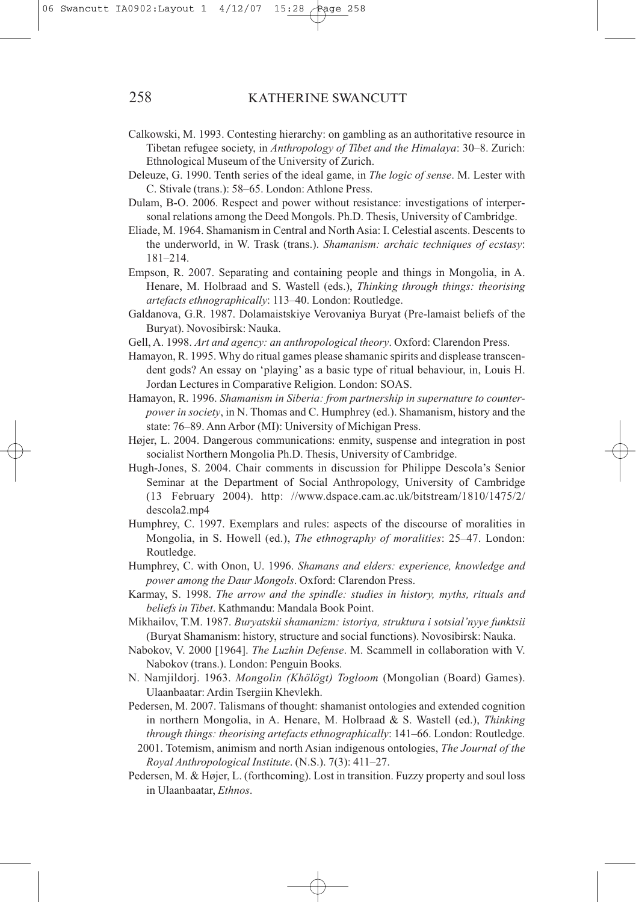- Calkowski, M. 1993. Contesting hierarchy: on gambling as an authoritative resource in Tibetan refugee society, in *Anthropology of Tibet and the Himalaya*: 30–8. Zurich: Ethnological Museum of the University of Zurich.
- Deleuze, G. 1990. Tenth series of the ideal game, in *The logic of sense*. M. Lester with C. Stivale (trans.): 58–65. London: Athlone Press.
- Dulam, B-O. 2006. Respect and power without resistance: investigations of interpersonal relations among the Deed Mongols. Ph.D. Thesis, University of Cambridge.
- Eliade, M. 1964. Shamanism in Central and North Asia: I. Celestial ascents. Descents to the underworld, in W. Trask (trans.). *Shamanism: archaic techniques of ecstasy*: 181–214.
- Empson, R. 2007. Separating and containing people and things in Mongolia, in A. Henare, M. Holbraad and S. Wastell (eds.), *Thinking through things: theorising artefacts ethnographically*: 113–40. London: Routledge.
- Galdanova, G.R. 1987. Dolamaistskiye Verovaniya Buryat (Pre-lamaist beliefs of the Buryat). Novosibirsk: Nauka.
- Gell, A. 1998. *Art and agency: an anthropological theory*. Oxford: Clarendon Press.
- Hamayon, R. 1995. Why do ritual games please shamanic spirits and displease transcendent gods? An essay on 'playing' as a basic type of ritual behaviour, in, Louis H. Jordan Lectures in Comparative Religion. London: SOAS.
- Hamayon, R. 1996. *Shamanism in Siberia: from partnership in supernature to counterpower in society*, in N. Thomas and C. Humphrey (ed.). Shamanism, history and the state: 76–89. Ann Arbor (MI): University of Michigan Press.
- Højer, L. 2004. Dangerous communications: enmity, suspense and integration in post socialist Northern Mongolia Ph.D. Thesis, University of Cambridge.
- Hugh-Jones, S. 2004. Chair comments in discussion for Philippe Descola's Senior Seminar at the Department of Social Anthropology, University of Cambridge (13 February 2004). http: //www.dspace.cam.ac.uk/bitstream/1810/1475/2/ descola2.mp4
- Humphrey, C. 1997. Exemplars and rules: aspects of the discourse of moralities in Mongolia, in S. Howell (ed.), *The ethnography of moralities*: 25–47. London: Routledge.
- Humphrey, C. with Onon, U. 1996. *Shamans and elders: experience, knowledge and power among the Daur Mongols*. Oxford: Clarendon Press.
- Karmay, S. 1998. *The arrow and the spindle: studies in history, myths, rituals and beliefs in Tibet*. Kathmandu: Mandala Book Point.
- Mikhailov, T.M. 1987. *Buryatskii shamanizm: istoriya, struktura i sotsial'nyye funktsii* (Buryat Shamanism: history, structure and social functions). Novosibirsk: Nauka.
- Nabokov, V. 2000 [1964]. *The Luzhin Defense*. M. Scammell in collaboration with V. Nabokov (trans.). London: Penguin Books.
- N. Namjildorj. 1963. *Mongolin (Khölögt) Togloom* (Mongolian (Board) Games). Ulaanbaatar: Ardin Tsergiin Khevlekh.
- Pedersen, M. 2007. Talismans of thought: shamanist ontologies and extended cognition in northern Mongolia, in A. Henare, M. Holbraad & S. Wastell (ed.), *Thinking through things: theorising artefacts ethnographically*: 141–66. London: Routledge.
- 2001. Totemism, animism and north Asian indigenous ontologies, *The Journal of the Royal Anthropological Institute*. (N.S.). 7(3): 411–27.
- Pedersen, M. & Højer, L. (forthcoming). Lost in transition. Fuzzy property and soul loss in Ulaanbaatar, *Ethnos*.